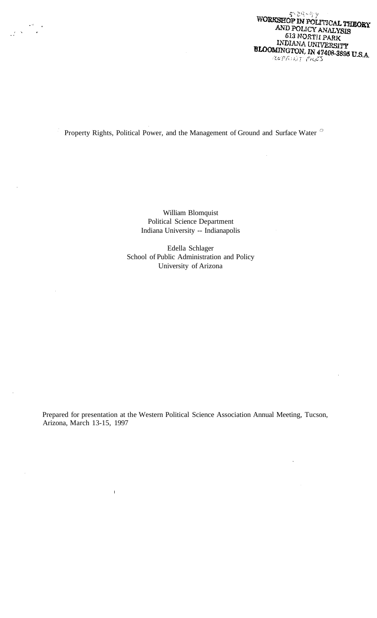$5 - 29 - 99$ WORKSHOP IN POLITICAL THEORY AND POLICY ANALYSIS 513 NORTH PARK INDIANA UNIVERSITY BLOOMINGTON. IN 47408-3895 U.S.A. REPRINT FILES

 $\overline{\phantom{a}}$ 

# Property Rights, Political Power, and the Management of Ground and Surface Water

William Blomquist Political Science Department Indiana University -- Indianapolis

Edella Schlager School of Public Administration and Policy University of Arizona

Prepared for presentation at the Western Political Science Association Annual Meeting, Tucson, Arizona, March 13-15, 1997

 $\mathbf{I}$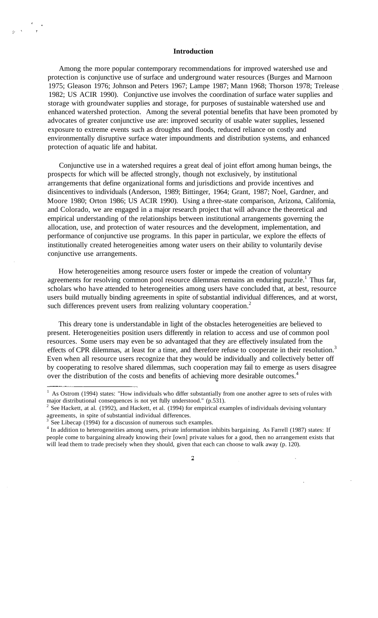#### **Introduction**

Among the more popular contemporary recommendations for improved watershed use and protection is conjunctive use of surface and underground water resources (Burges and Marnoon 1975; Gleason 1976; Johnson and Peters 1967; Lampe 1987; Mann 1968; Thorson 1978; Trelease 1982; US ACIR 1990). Conjunctive use involves the coordination of surface water supplies and storage with groundwater supplies and storage, for purposes of sustainable watershed use and enhanced watershed protection. Among the several potential benefits that have been promoted by advocates of greater conjunctive use are: improved security of usable water supplies, lessened exposure to extreme events such as droughts and floods, reduced reliance on costly and environmentally disruptive surface water impoundments and distribution systems, and enhanced protection of aquatic life and habitat.

Conjunctive use in a watershed requires a great deal of joint effort among human beings, the prospects for which will be affected strongly, though not exclusively, by institutional arrangements that define organizational forms and jurisdictions and provide incentives and disincentives to individuals (Anderson, 1989; Bittinger, 1964; Grant, 1987; Noel, Gardner, and Moore 1980; Orton 1986; US ACIR 1990). Using a three-state comparison, Arizona, California, and Colorado, we are engaged in a major research project that will advance the theoretical and empirical understanding of the relationships between institutional arrangements governing the allocation, use, and protection of water resources and the development, implementation, and performance of conjunctive use programs. In this paper in particular, we explore the effects of institutionally created heterogeneities among water users on their ability to voluntarily devise conjunctive use arrangements.

How heterogeneities among resource users foster or impede the creation of voluntary agreements for resolving common pool resource dilemmas remains an enduring puzzle.<sup>1</sup> Thus far, scholars who have attended to heterogeneities among users have concluded that, at best, resource users build mutually binding agreements in spite of substantial individual differences, and at worst, such differences prevent users from realizing voluntary cooperation.<sup>2</sup>

This dreary tone is understandable in light of the obstacles heterogeneities are believed to present. Heterogeneities position users differently in relation to access and use of common pool resources. Some users may even be so advantaged that they are effectively insulated from the effects of CPR dilemmas, at least for a time, and therefore refuse to cooperate in their resolution.<sup>3</sup> Even when all resource users recognize that they would be individually and collectively better off by cooperating to resolve shared dilemmas, such cooperation may fail to emerge as users disagree over the distribution of the costs and benefits of achieving more desirable outcomes.<sup>4</sup>

 $\overline{2}$ 

 $1$  As Ostrom (1994) states: "How individuals who differ substantially from one another agree to sets of rules with

major distributional consequences is not yet fully understood." (p.531).<br><sup>2</sup> See Hackett, at al. (1992), and Hackett, et al. (1994) for empirical examples of individuals devising voluntary agreements, in spite of substantial individual differences.

<sup>3</sup> See Libecap (1994) for a discussion of numerous such examples.

<sup>&</sup>lt;sup>4</sup> In addition to heterogeneities among users, private information inhibits bargaining. As Farrell (1987) states: If people come to bargaining already knowing their [own] private values for a good, then no arrangement exists that will lead them to trade precisely when they should, given that each can choose to walk away (p. 120).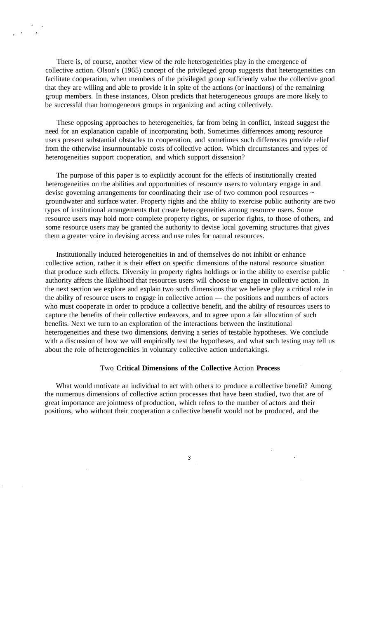There is, of course, another view of the role heterogeneities play in the emergence of collective action. Olson's (1965) concept of the privileged group suggests that heterogeneities can facilitate cooperation, when members of the privileged group sufficiently value the collective good that they are willing and able to provide it in spite of the actions (or inactions) of the remaining group members. In these instances, Olson predicts that heterogeneous groups are more likely to be successful than homogeneous groups in organizing and acting collectively.

These opposing approaches to heterogeneities, far from being in conflict, instead suggest the need for an explanation capable of incorporating both. Sometimes differences among resource users present substantial obstacles to cooperation, and sometimes such differences provide relief from the otherwise insurmountable costs of collective action. Which circumstances and types of heterogeneities support cooperation, and which support dissension?

The purpose of this paper is to explicitly account for the effects of institutionally created heterogeneities on the abilities and opportunities of resource users to voluntary engage in and devise governing arrangements for coordinating their use of two common pool resources ~ groundwater and surface water. Property rights and the ability to exercise public authority are two types of institutional arrangements that create heterogeneities among resource users. Some resource users may hold more complete property rights, or superior rights, to those of others, and some resource users may be granted the authority to devise local governing structures that gives them a greater voice in devising access and use rules for natural resources.

Institutionally induced heterogeneities in and of themselves do not inhibit or enhance collective action, rather it is their effect on specific dimensions of the natural resource situation that produce such effects. Diversity in property rights holdings or in the ability to exercise public authority affects the likelihood that resources users will choose to engage in collective action. In the next section we explore and explain two such dimensions that we believe play a critical role in the ability of resource users to engage in collective action — the positions and numbers of actors who must cooperate in order to produce a collective benefit, and the ability of resources users to capture the benefits of their collective endeavors, and to agree upon a fair allocation of such benefits. Next we turn to an exploration of the interactions between the institutional heterogeneities and these two dimensions, deriving a series of testable hypotheses. We conclude with a discussion of how we will empirically test the hypotheses, and what such testing may tell us about the role of heterogeneities in voluntary collective action undertakings.

#### Two **Critical Dimensions of the Collective** Action **Process**

What would motivate an individual to act with others to produce a collective benefit? Among the numerous dimensions of collective action processes that have been studied, two that are of great importance are jointness of production, which refers to the number of actors and their positions, who without their cooperation a collective benefit would not be produced, and the

3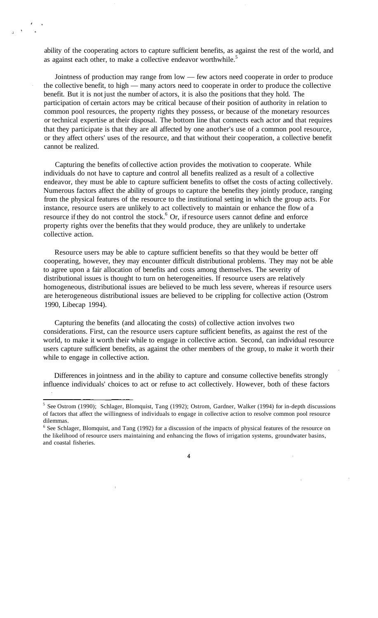ability of the cooperating actors to capture sufficient benefits, as against the rest of the world, and as against each other, to make a collective endeavor worthwhile.<sup>5</sup>

Jointness of production may range from low — few actors need cooperate in order to produce the collective benefit, to high — many actors need to cooperate in order to produce the collective benefit. But it is not just the number of actors, it is also the positions that they hold. The participation of certain actors may be critical because of their position of authority in relation to common pool resources, the property rights they possess, or because of the monetary resources or technical expertise at their disposal. The bottom line that connects each actor and that requires that they participate is that they are all affected by one another's use of a common pool resource, or they affect others' uses of the resource, and that without their cooperation, a collective benefit cannot be realized.

Capturing the benefits of collective action provides the motivation to cooperate. While individuals do not have to capture and control all benefits realized as a result of a collective endeavor, they must be able to capture sufficient benefits to offset the costs of acting collectively. Numerous factors affect the ability of groups to capture the benefits they jointly produce, ranging from the physical features of the resource to the institutional setting in which the group acts. For instance, resource users are unlikely to act collectively to maintain or enhance the flow of a resource if they do not control the stock.<sup>6</sup> Or, if resource users cannot define and enforce property rights over the benefits that they would produce, they are unlikely to undertake collective action.

Resource users may be able to capture sufficient benefits so that they would be better off cooperating, however, they may encounter difficult distributional problems. They may not be able to agree upon a fair allocation of benefits and costs among themselves. The severity of distributional issues is thought to turn on heterogeneities. If resource users are relatively homogeneous, distributional issues are believed to be much less severe, whereas if resource users are heterogeneous distributional issues are believed to be crippling for collective action (Ostrom 1990, Libecap 1994).

Capturing the benefits (and allocating the costs) of collective action involves two considerations. First, can the resource users capture sufficient benefits, as against the rest of the world, to make it worth their while to engage in collective action. Second, can individual resource users capture sufficient benefits, as against the other members of the group, to make it worth their while to engage in collective action.

Differences in jointness and in the ability to capture and consume collective benefits strongly influence individuals' choices to act or refuse to act collectively. However, both of these factors

 $\overline{4}$ 

<sup>&</sup>lt;sup>5</sup> See Ostrom (1990); Schlager, Blomquist, Tang (1992); Ostrom, Gardner, Walker (1994) for in-depth discussions of factors that affect the willingness of individuals to engage in collective action to resolve common pool resource dilemmas.

<sup>&</sup>lt;sup>6</sup> See Schlager, Blomquist, and Tang (1992) for a discussion of the impacts of physical features of the resource on the likelihood of resource users maintaining and enhancing the flows of irrigation systems, groundwater basins, and coastal fisheries.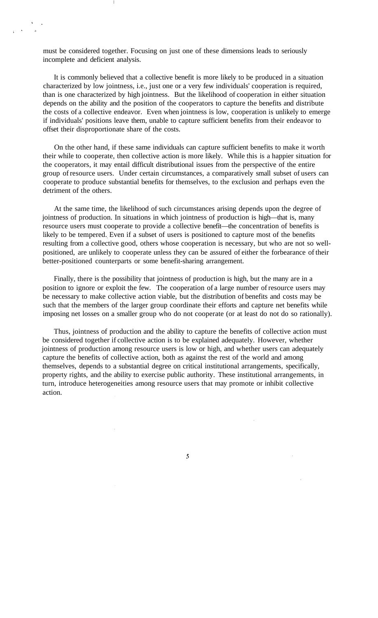must be considered together. Focusing on just one of these dimensions leads to seriously incomplete and deficient analysis.

It is commonly believed that a collective benefit is more likely to be produced in a situation characterized by low jointness, i.e., just one or a very few individuals' cooperation is required, than is one characterized by high jointness. But the likelihood of cooperation in either situation depends on the ability and the position of the cooperators to capture the benefits and distribute the costs of a collective endeavor. Even when jointness is low, cooperation is unlikely to emerge if individuals' positions leave them, unable to capture sufficient benefits from their endeavor to offset their disproportionate share of the costs.

On the other hand, if these same individuals can capture sufficient benefits to make it worth their while to cooperate, then collective action is more likely. While this is a happier situation for the cooperators, it may entail difficult distributional issues from the perspective of the entire group of resource users. Under certain circumstances, a comparatively small subset of users can cooperate to produce substantial benefits for themselves, to the exclusion and perhaps even the detriment of the others.

At the same time, the likelihood of such circumstances arising depends upon the degree of jointness of production. In situations in which jointness of production is high—that is, many resource users must cooperate to provide a collective benefit—the concentration of benefits is likely to be tempered. Even if a subset of users is positioned to capture most of the benefits resulting from a collective good, others whose cooperation is necessary, but who are not so wellpositioned, are unlikely to cooperate unless they can be assured of either the forbearance of their better-positioned counterparts or some benefit-sharing arrangement.

Finally, there is the possibility that jointness of production is high, but the many are in a position to ignore or exploit the few. The cooperation of a large number of resource users may be necessary to make collective action viable, but the distribution of benefits and costs may be such that the members of the larger group coordinate their efforts and capture net benefits while imposing net losses on a smaller group who do not cooperate (or at least do not do so rationally).

Thus, jointness of production and the ability to capture the benefits of collective action must be considered together if collective action is to be explained adequately. However, whether jointness of production among resource users is low or high, and whether users can adequately capture the benefits of collective action, both as against the rest of the world and among themselves, depends to a substantial degree on critical institutional arrangements, specifically, property rights, and the ability to exercise public authority. These institutional arrangements, in turn, introduce heterogeneities among resource users that may promote or inhibit collective action.

 $\overline{\mathbf{5}}$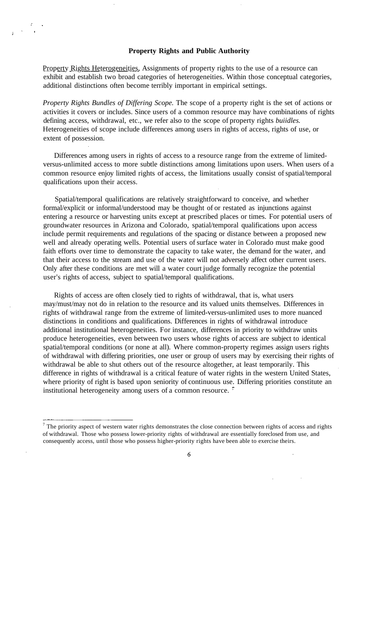## **Property Rights and Public Authority**

Property Rights Heterogeneities, Assignments of property rights to the use of a resource can exhibit and establish two broad categories of heterogeneities. Within those conceptual categories, additional distinctions often become terribly important in empirical settings.

*Property Rights Bundles of Differing Scope.* The scope of a property right is the set of actions or activities it covers or includes. Since users of a common resource may have combinations of rights defining access, withdrawal, etc., we refer also to the scope of property rights *buiidles.* Heterogeneities of scope include differences among users in rights of access, rights of use, or extent of possession.

Differences among users in rights of access to a resource range from the extreme of limitedversus-unlimited access to more subtle distinctions among limitations upon users. When users of a common resource enjoy limited rights of access, the limitations usually consist of spatial/temporal qualifications upon their access.

Spatial/temporal qualifications are relatively straightforward to conceive, and whether formal/explicit or informal/understood may be thought of or restated as injunctions against entering a resource or harvesting units except at prescribed places or times. For potential users of groundwater resources in Arizona and Colorado, spatial/temporal qualifications upon access include permit requirements and regulations of the spacing or distance between a proposed new well and already operating wells. Potential users of surface water in Colorado must make good faith efforts over time to demonstrate the capacity to take water, the demand for the water, and that their access to the stream and use of the water will not adversely affect other current users. Only after these conditions are met will a water court judge formally recognize the potential user's rights of access, subject to spatial/temporal qualifications.

Rights of access are often closely tied to rights of withdrawal, that is, what users may/must/may not do in relation to the resource and its valued units themselves. Differences in rights of withdrawal range from the extreme of limited-versus-unlimited uses to more nuanced distinctions in conditions and qualifications. Differences in rights of withdrawal introduce additional institutional heterogeneities. For instance, differences in priority to withdraw units produce heterogeneities, even between two users whose rights of access are subject to identical spatial/temporal conditions (or none at all). Where common-property regimes assign users rights of withdrawal with differing priorities, one user or group of users may by exercising their rights of withdrawal be able to shut others out of the resource altogether, at least temporarily. This difference in rights of withdrawal is a critical feature of water rights in the western United States, where priority of right is based upon seniority of continuous use. Differing priorities constitute an institutional heterogeneity among users of a common resource.<sup>5</sup>

 $<sup>7</sup>$  The priority aspect of western water rights demonstrates the close connection between rights of access and rights</sup> of withdrawal. Those who possess lower-priority rights of withdrawal are essentially foreclosed from use, and consequently access, until those who possess higher-priority rights have been able to exercise theirs.

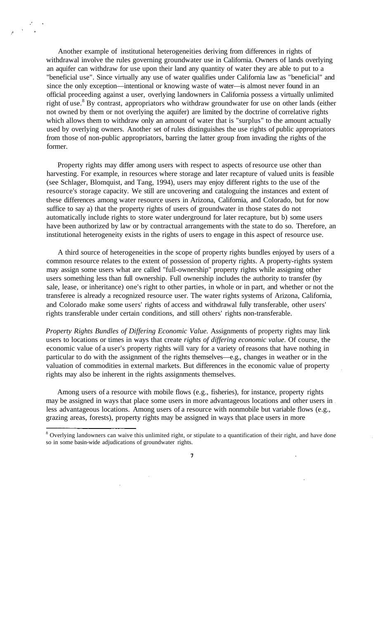Another example of institutional heterogeneities deriving from differences in rights of withdrawal involve the rules governing groundwater use in California. Owners of lands overlying an aquifer can withdraw for use upon their land any quantity of water they are able to put to a "beneficial use". Since virtually any use of water qualifies under California law as "beneficial" and since the only exception—intentional or knowing waste of water—is almost never found in an official proceeding against a user, overlying landowners in California possess a virtually unlimited right of use.<sup>8</sup> By contrast, appropriators who withdraw groundwater for use on other lands (either not owned by them or not overlying the aquifer) are limited by the doctrine of correlative rights which allows them to withdraw only an amount of water that is "surplus" to the amount actually used by overlying owners. Another set of rules distinguishes the use rights of public appropriators from those of non-public appropriators, barring the latter group from invading the rights of the former.

Property rights may differ among users with respect to aspects of resource use other than harvesting. For example, in resources where storage and later recapture of valued units is feasible (see Schlager, Blomquist, and Tang, 1994), users may enjoy different rights to the use of the resource's storage capacity. We still are uncovering and cataloguing the instances and extent of these differences among water resource users in Arizona, California, and Colorado, but for now suffice to say a) that the property rights of users of groundwater in those states do not automatically include rights to store water underground for later recapture, but b) some users have been authorized by law or by contractual arrangements with the state to do so. Therefore, an institutional heterogeneity exists in the rights of users to engage in this aspect of resource use.

A third source of heterogeneities in the scope of property rights bundles enjoyed by users of a common resource relates to the extent of possession of property rights. A property-rights system may assign some users what are called "full-ownership" property rights while assigning other users something less than full ownership. Full ownership includes the authority to transfer (by sale, lease, or inheritance) one's right to other parties, in whole or in part, and whether or not the transferee is already a recognized resource user. The water rights systems of Arizona, California, and Colorado make some users' rights of access and withdrawal fully transferable, other users' rights transferable under certain conditions, and still others' rights non-transferable.

*Property Rights Bundles of Differing Economic Value.* Assignments of property rights may link users to locations or times in ways that create *rights of differing economic value.* Of course, the economic value of a user's property rights will vary for a variety of reasons that have nothing in particular to do with the assignment of the rights themselves—e.g., changes in weather or in the valuation of commodities in external markets. But differences in the economic value of property rights may also be inherent in the rights assignments themselves.

Among users of a resource with mobile flows (e.g., fisheries), for instance, property rights may be assigned in ways that place some users in more advantageous locations and other users in less advantageous locations. Among users of a resource with nonmobile but variable flows (e.g., grazing areas, forests), property rights may be assigned in ways that place users in more

<sup>&</sup>lt;sup>8</sup> Overlying landowners can waive this unlimited right, or stipulate to a quantification of their right, and have done so in some basin-wide adjudications of groundwater rights.

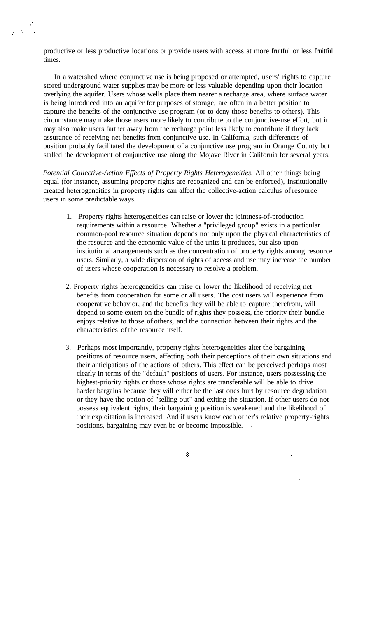productive or less productive locations or provide users with access at more fruitful or less fruitful times.

 $\begin{array}{ccccc}\n&\mathbb{Z} &\mathbb{Z} &\mathbb{Z} &\mathbb{Z} &\mathbb{Z} &\mathbb{Z} &\mathbb{Z} &\mathbb{Z} &\mathbb{Z} &\mathbb{Z} &\mathbb{Z} &\mathbb{Z} &\mathbb{Z} &\mathbb{Z} &\mathbb{Z} &\mathbb{Z} &\mathbb{Z} &\mathbb{Z} &\mathbb{Z} &\mathbb{Z} &\mathbb{Z} &\mathbb{Z} &\mathbb{Z} &\mathbb{Z} &\mathbb{Z} &\mathbb{Z} &\mathbb{Z} &\mathbb{Z} &\mathbb{Z} &\mathbb{Z} &$ 

In a watershed where conjunctive use is being proposed or attempted, users' rights to capture stored underground water supplies may be more or less valuable depending upon their location overlying the aquifer. Users whose wells place them nearer a recharge area, where surface water is being introduced into an aquifer for purposes of storage, are often in a better position to capture the benefits of the conjunctive-use program (or to deny those benefits to others). This circumstance may make those users more likely to contribute to the conjunctive-use effort, but it may also make users farther away from the recharge point less likely to contribute if they lack assurance of receiving net benefits from conjunctive use. In California, such differences of position probably facilitated the development of a conjunctive use program in Orange County but stalled the development of conjunctive use along the Mojave River in California for several years.

*Potential Collective-Action Effects of Property Rights Heterogeneities.* All other things being equal (for instance, assuming property rights are recognized and can be enforced), institutionally created heterogeneities in property rights can affect the collective-action calculus of resource users in some predictable ways.

- 1. Property rights heterogeneities can raise or lower the jointness-of-production requirements within a resource. Whether a "privileged group" exists in a particular common-pool resource situation depends not only upon the physical characteristics of the resource and the economic value of the units it produces, but also upon institutional arrangements such as the concentration of property rights among resource users. Similarly, a wide dispersion of rights of access and use may increase the number of users whose cooperation is necessary to resolve a problem.
- 2. Property rights heterogeneities can raise or lower the likelihood of receiving net benefits from cooperation for some or all users. The cost users will experience from cooperative behavior, and the benefits they will be able to capture therefrom, will depend to some extent on the bundle of rights they possess, the priority their bundle enjoys relative to those of others, and the connection between their rights and the characteristics of the resource itself.
- 3. Perhaps most importantly, property rights heterogeneities alter the bargaining positions of resource users, affecting both their perceptions of their own situations and their anticipations of the actions of others. This effect can be perceived perhaps most clearly in terms of the "default" positions of users. For instance, users possessing the highest-priority rights or those whose rights are transferable will be able to drive harder bargains because they will either be the last ones hurt by resource degradation or they have the option of "selling out" and exiting the situation. If other users do not possess equivalent rights, their bargaining position is weakened and the likelihood of their exploitation is increased. And if users know each other's relative property-rights positions, bargaining may even be or become impossible.

 $\overline{\mathbf{8}}$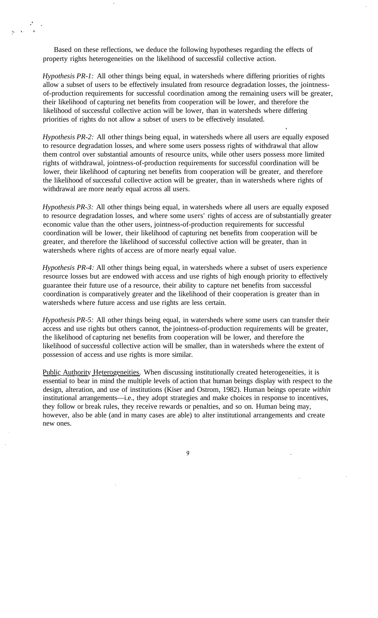Based on these reflections, we deduce the following hypotheses regarding the effects of property rights heterogeneities on the likelihood of successful collective action.

*Hypothesis PR-1:* All other things being equal, in watersheds where differing priorities of rights allow a subset of users to be effectively insulated from resource degradation losses, the jointnessof-production requirements for successful coordination among the remaining users will be greater, their likelihood of capturing net benefits from cooperation will be lower, and therefore the likelihood of successful collective action will be lower, than in watersheds where differing priorities of rights do not allow a subset of users to be effectively insulated.

*Hypothesis PR-2:* All other things being equal, in watersheds where all users are equally exposed to resource degradation losses, and where some users possess rights of withdrawal that allow them control over substantial amounts of resource units, while other users possess more limited rights of withdrawal, jointness-of-production requirements for successful coordination will be lower, their likelihood of capturing net benefits from cooperation will be greater, and therefore the likelihood of successful collective action will be greater, than in watersheds where rights of withdrawal are more nearly equal across all users.

*Hypothesis PR-3:* All other things being equal, in watersheds where all users are equally exposed to resource degradation losses, and where some users' rights of access are of substantially greater economic value than the other users, jointness-of-production requirements for successful coordination will be lower, their likelihood of capturing net benefits from cooperation will be greater, and therefore the likelihood of successful collective action will be greater, than in watersheds where rights of access are of more nearly equal value.

*Hypothesis PR-4:* All other things being equal, in watersheds where a subset of users experience resource losses but are endowed with access and use rights of high enough priority to effectively guarantee their future use of a resource, their ability to capture net benefits from successful coordination is comparatively greater and the likelihood of their cooperation is greater than in watersheds where future access and use rights are less certain.

*Hypothesis PR-5:* All other things being equal, in watersheds where some users can transfer their access and use rights but others cannot, the jointness-of-production requirements will be greater, the likelihood of capturing net benefits from cooperation will be lower, and therefore the likelihood of successful collective action will be smaller, than in watersheds where the extent of possession of access and use rights is more similar.

Public Authority Heterogeneities. When discussing institutionally created heterogeneities, it is essential to bear in mind the multiple levels of action that human beings display with respect to the design, alteration, and use of institutions (Kiser and Ostrom, 1982). Human beings operate *within* institutional arrangements—i.e., they adopt strategies and make choices in response to incentives, they follow or break rules, they receive rewards or penalties, and so on. Human being may, however, also be able (and in many cases are able) to alter institutional arrangements and create new ones.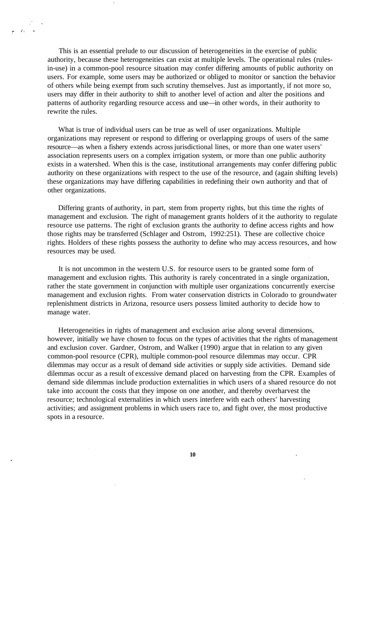This is an essential prelude to our discussion of heterogeneities in the exercise of public authority, because these heterogeneities can exist at multiple levels. The operational rules (rulesin-use) in a common-pool resource situation may confer differing amounts of public authority on users. For example, some users may be authorized or obliged to monitor or sanction the behavior of others while being exempt from such scrutiny themselves. Just as importantly, if not more so, users may differ in their authority to shift to another level of action and alter the positions and patterns of authority regarding resource access and use—in other words, in their authority to rewrite the rules.

What is true of individual users can be true as well of user organizations. Multiple organizations may represent or respond to differing or overlapping groups of users of the same resource—as when a fishery extends across jurisdictional lines, or more than one water users' association represents users on a complex irrigation system, or more than one public authority exists in a watershed. When this is the case, institutional arrangements may confer differing public authority on these organizations with respect to the use of the resource, and (again shifting levels) these organizations may have differing capabilities in redefining their own authority and that of other organizations.

Differing grants of authority, in part, stem from property rights, but this time the rights of management and exclusion. The right of management grants holders of it the authority to regulate resource use patterns. The right of exclusion grants the authority to define access rights and how those rights may be transferred (Schlager and Ostrom, 1992:251). These are collective choice rights. Holders of these rights possess the authority to define who may access resources, and how resources may be used.

It is not uncommon in the western U.S. for resource users to be granted some form of management and exclusion rights. This authority is rarely concentrated in a single organization, rather the state government in conjunction with multiple user organizations concurrently exercise management and exclusion rights. From water conservation districts in Colorado to groundwater replenishment districts in Arizona, resource users possess limited authority to decide how to manage water.

Heterogeneities in rights of management and exclusion arise along several dimensions, however, initially we have chosen to focus on the types of activities that the rights of management and exclusion cover. Gardner, Ostrom, and Walker (1990) argue that in relation to any given common-pool resource (CPR), multiple common-pool resource dilemmas may occur. CPR dilemmas may occur as a result of demand side activities or supply side activities. Demand side dilemmas occur as a result of excessive demand placed on harvesting from the CPR. Examples of demand side dilemmas include production externalities in which users of a shared resource do not take into account the costs that they impose on one another, and thereby overharvest the resource; technological externalities in which users interfere with each others' harvesting activities; and assignment problems in which users race to, and fight over, the most productive spots in a resource.

**10**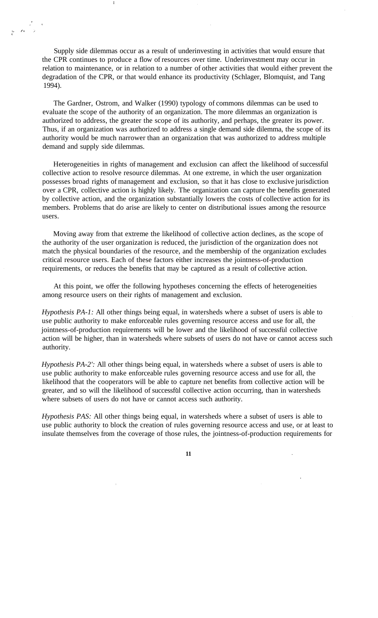Supply side dilemmas occur as a result of underinvesting in activities that would ensure that the CPR continues to produce a flow of resources over time. Underinvestment may occur in relation to maintenance, or in relation to a number of other activities that would either prevent the degradation of the CPR, or that would enhance its productivity (Schlager, Blomquist, and Tang 1994).

 $\frac{1}{2}$  and  $\frac{1}{2}$ 

The Gardner, Ostrom, and Walker (1990) typology of commons dilemmas can be used to evaluate the scope of the authority of an organization. The more dilemmas an organization is authorized to address, the greater the scope of its authority, and perhaps, the greater its power. Thus, if an organization was authorized to address a single demand side dilemma, the scope of its authority would be much narrower than an organization that was authorized to address multiple demand and supply side dilemmas.

Heterogeneities in rights of management and exclusion can affect the likelihood of successful collective action to resolve resource dilemmas. At one extreme, in which the user organization possesses broad rights of management and exclusion, so that it has close to exclusive jurisdiction over a CPR, collective action is highly likely. The organization can capture the benefits generated by collective action, and the organization substantially lowers the costs of collective action for its members. Problems that do arise are likely to center on distributional issues among the resource users.

Moving away from that extreme the likelihood of collective action declines, as the scope of the authority of the user organization is reduced, the jurisdiction of the organization does not match the physical boundaries of the resource, and the membership of the organization excludes critical resource users. Each of these factors either increases the jointness-of-production requirements, or reduces the benefits that may be captured as a result of collective action.

At this point, we offer the following hypotheses concerning the effects of heterogeneities among resource users on their rights of management and exclusion.

*Hypothesis PA-1:* All other things being equal, in watersheds where a subset of users is able to use public authority to make enforceable rules governing resource access and use for all, the jointness-of-production requirements will be lower and the likelihood of successful collective action will be higher, than in watersheds where subsets of users do not have or cannot access such authority.

*Hypothesis PA-2':* All other things being equal, in watersheds where a subset of users is able to use public authority to make enforceable rules governing resource access and use for all, the likelihood that the cooperators will be able to capture net benefits from collective action will be greater, and so will the likelihood of successful collective action occurring, than in watersheds where subsets of users do not have or cannot access such authority.

*Hypothesis PAS:* All other things being equal, in watersheds where a subset of users is able to use public authority to block the creation of rules governing resource access and use, or at least to insulate themselves from the coverage of those rules, the jointness-of-production requirements for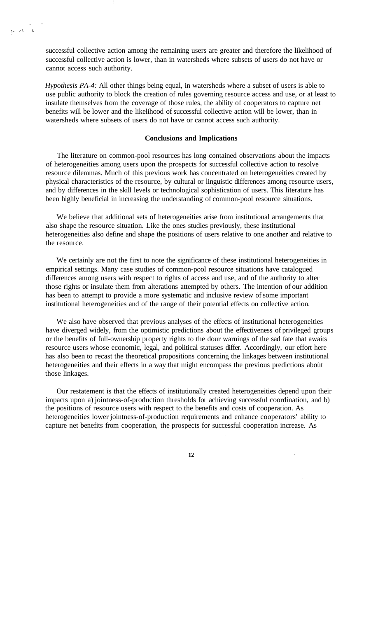successful collective action among the remaining users are greater and therefore the likelihood of successful collective action is lower, than in watersheds where subsets of users do not have or cannot access such authority.

*Hypothesis PA-4:* All other things being equal, in watersheds where a subset of users is able to use public authority to block the creation of rules governing resource access and use, or at least to insulate themselves from the coverage of those rules, the ability of cooperators to capture net benefits will be lower and the likelihood of successful collective action will be lower, than in watersheds where subsets of users do not have or cannot access such authority.

### **Conclusions and Implications**

The literature on common-pool resources has long contained observations about the impacts of heterogeneities among users upon the prospects for successful collective action to resolve resource dilemmas. Much of this previous work has concentrated on heterogeneities created by physical characteristics of the resource, by cultural or linguistic differences among resource users, and by differences in the skill levels or technological sophistication of users. This literature has been highly beneficial in increasing the understanding of common-pool resource situations.

We believe that additional sets of heterogeneities arise from institutional arrangements that also shape the resource situation. Like the ones studies previously, these institutional heterogeneities also define and shape the positions of users relative to one another and relative to the resource.

We certainly are not the first to note the significance of these institutional heterogeneities in empirical settings. Many case studies of common-pool resource situations have catalogued differences among users with respect to rights of access and use, and of the authority to alter those rights or insulate them from alterations attempted by others. The intention of our addition has been to attempt to provide a more systematic and inclusive review of some important institutional heterogeneities and of the range of their potential effects on collective action.

We also have observed that previous analyses of the effects of institutional heterogeneities have diverged widely, from the optimistic predictions about the effectiveness of privileged groups or the benefits of full-ownership property rights to the dour warnings of the sad fate that awaits resource users whose economic, legal, and political statuses differ. Accordingly, our effort here has also been to recast the theoretical propositions concerning the linkages between institutional heterogeneities and their effects in a way that might encompass the previous predictions about those linkages.

Our restatement is that the effects of institutionally created heterogeneities depend upon their impacts upon a) jointness-of-production thresholds for achieving successful coordination, and b) the positions of resource users with respect to the benefits and costs of cooperation. As heterogeneities lower jointness-of-production requirements and enhance cooperators' ability to capture net benefits from cooperation, the prospects for successful cooperation increase. As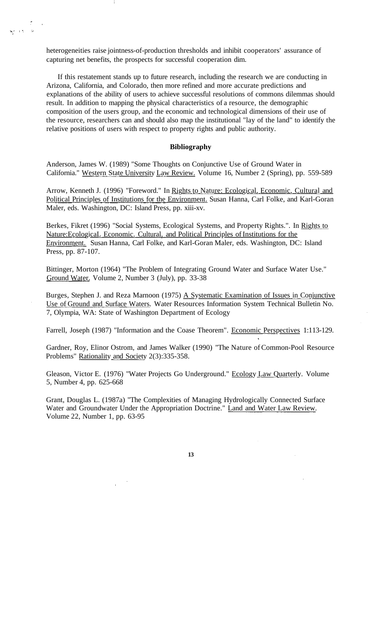heterogeneities raise jointness-of-production thresholds and inhibit cooperators' assurance of capturing net benefits, the prospects for successful cooperation dim.

If this restatement stands up to future research, including the research we are conducting in Arizona, California, and Colorado, then more refined and more accurate predictions and explanations of the ability of users to achieve successful resolutions of commons dilemmas should result. In addition to mapping the physical characteristics of a resource, the demographic composition of the users group, and the economic and technological dimensions of their use of the resource, researchers can and should also map the institutional "lay of the land" to identify the relative positions of users with respect to property rights and public authority.

### **Bibliography**

Anderson, James W. (1989) "Some Thoughts on Conjunctive Use of Ground Water in California." Western State University Law Review. Volume 16, Number 2 (Spring), pp. 559-589

Arrow, Kenneth J. (1996) "Foreword." In Rights to Nature: Ecological, Economic, Cultural and Political Principles of Institutions for the Environment. Susan Hanna, Carl Folke, and Karl-Goran Maler, eds. Washington, DC: Island Press, pp. xiii-xv.

Berkes, Fikret (1996) "Social Systems, Ecological Systems, and Property Rights.". In Rights to Nature:EcologicaL Economic. Cultural, and Political Principles of Institutions for the Environment. Susan Hanna, Carl Folke, and Karl-Goran Maler, eds. Washington, DC: Island Press, pp. 87-107.

Bittinger, Morton (1964) "The Problem of Integrating Ground Water and Surface Water Use." Ground Water. Volume 2, Number 3 (July), pp. 33-38

Burges, Stephen J. and Reza Marnoon (1975) A Systematic Examination of Issues in Conjunctive Use of Ground and Surface Waters. Water Resources Information System Technical Bulletin No. 7, Olympia, WA: State of Washington Department of Ecology

Farrell, Joseph (1987) "Information and the Coase Theorem". Economic Perspectives 1:113-129.

Gardner, Roy, Elinor Ostrom, and James Walker (1990) "The Nature of Common-Pool Resource Problems" Rationality and Society 2(3):335-358.

Gleason, Victor E. (1976) "Water Projects Go Underground." Ecology Law Quarterly. Volume 5, Number 4, pp. 625-668

Grant, Douglas L. (1987a) "The Complexities of Managing Hydrologically Connected Surface Water and Groundwater Under the Appropriation Doctrine." Land and Water Law Review. Volume 22, Number 1, pp. 63-95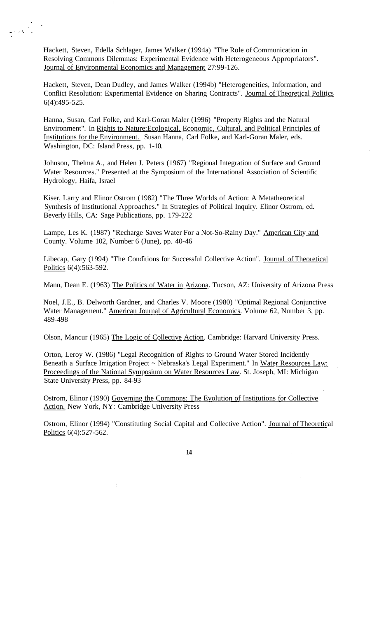Hackett, Steven, Edella Schlager, James Walker (1994a) "The Role of Communication in Resolving Commons Dilemmas: Experimental Evidence with Heterogeneous Appropriators". Journal of Environmental Economics and Management 27:99-126.

Hackett, Steven, Dean Dudley, and James Walker (1994b) "Heterogeneities, Information, and Conflict Resolution: Experimental Evidence on Sharing Contracts". Journal of Theoretical Politics 6(4):495-525.

Hanna, Susan, Carl Folke, and Karl-Goran Maler (1996) "Property Rights and the Natural Environment". In Rights to Nature:Ecological. Economic. Cultural, and Political Principles of Institutions for the Environment. Susan Hanna, Carl Folke, and Karl-Goran Maler, eds. Washington, DC: Island Press, pp. 1-10.

Johnson, Thelma A., and Helen J. Peters (1967) "Regional Integration of Surface and Ground Water Resources." Presented at the Symposium of the International Association of Scientific Hydrology, Haifa, Israel

Kiser, Larry and Elinor Ostrom (1982) "The Three Worlds of Action: A Metatheoretical Synthesis of Institutional Approaches." In Strategies of Political Inquiry. Elinor Ostrom, ed. Beverly Hills, CA: Sage Publications, pp. 179-222

Lampe, Les K. (1987) "Recharge Saves Water For a Not-So-Rainy Day." American City and County. Volume 102, Number 6 (June), pp. 40-46

Libecap, Gary (1994) "The Conditions for Successful Collective Action". Journal of Theoretical Politics 6(4):563-592.

Mann, Dean E. (1963) The Politics of Water in Arizona. Tucson, AZ: University of Arizona Press

Noel, J.E., B. Delworth Gardner, and Charles V. Moore (1980) "Optimal Regional Conjunctive Water Management." American Journal of Agricultural Economics. Volume 62, Number 3, pp. 489-498

Olson, Mancur (1965) The Logic of Collective Action. Cambridge: Harvard University Press.

Orton, Leroy W. (1986) "Legal Recognition of Rights to Ground Water Stored Incidently Beneath a Surface Irrigation Project ~ Nebraska's Legal Experiment." In Water Resources Law: Proceedings of the National Symposium on Water Resources Law. St. Joseph, MI: Michigan State University Press, pp. 84-93

Ostrom, Elinor (1990) Governing the Commons: The Evolution of Institutions for Collective Action. New York, NY: Cambridge University Press

Ostrom, Elinor (1994) "Constituting Social Capital and Collective Action". Journal of Theoretical Politics 6(4):527-562.

 $\mathbf{I}$